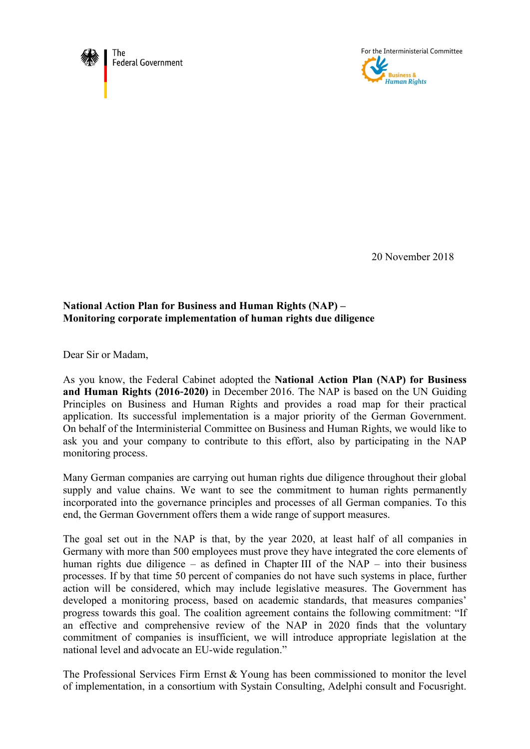



20 November 2018

## **National Action Plan for Business and Human Rights (NAP) – Monitoring corporate implementation of human rights due diligence**

Dear Sir or Madam,

As you know, the Federal Cabinet adopted the **National Action Plan (NAP) for Business and Human Rights (2016**-**2020)** in December 2016. The NAP is based on the UN Guiding Principles on Business and Human Rights and provides a road map for their practical application. Its successful implementation is a major priority of the German Government. On behalf of the Interministerial Committee on Business and Human Rights, we would like to ask you and your company to contribute to this effort, also by participating in the NAP monitoring process.

Many German companies are carrying out human rights due diligence throughout their global supply and value chains. We want to see the commitment to human rights permanently incorporated into the governance principles and processes of all German companies. To this end, the German Government offers them a wide range of support measures.

The goal set out in the NAP is that, by the year 2020, at least half of all companies in Germany with more than 500 employees must prove they have integrated the core elements of human rights due diligence – as defined in Chapter III of the NAP – into their business processes. If by that time 50 percent of companies do not have such systems in place, further action will be considered, which may include legislative measures. The Government has developed a monitoring process, based on academic standards, that measures companies' progress towards this goal. The coalition agreement contains the following commitment: "If an effective and comprehensive review of the NAP in 2020 finds that the voluntary commitment of companies is insufficient, we will introduce appropriate legislation at the national level and advocate an EU-wide regulation."

The Professional Services Firm Ernst & Young has been commissioned to monitor the level of implementation, in a consortium with Systain Consulting, Adelphi consult and Focusright.